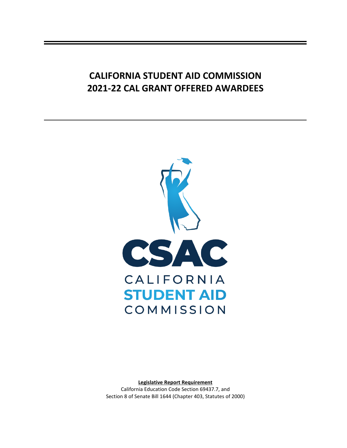## **CALIFORNIA STUDENT AID COMMISSION 2021-22 CAL GRANT OFFERED AWARDEES**



**Legislative Report Requirement** California Education Code Section 69437.7, and Section 8 of Senate Bill 1644 (Chapter 403, Statutes of 2000)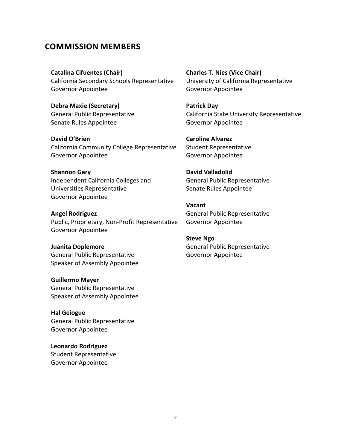## **COMMISSION MEMBERS**

**Catalina Cifuentes (Chair)** California Secondary Schools Representative Governor Appointee

**Debra Maxie (Secretary)** General Public Representative Senate Rules Appointee

**David O'Brien** California Community College Representative Governor Appointee

**Shannon Gary** Independent California Colleges and Universities Representative Governor Appointee

**Angel Rodriguez** Public, Proprietary, Non-Profit Representative Governor Appointee

**Juanita Doplemore** General Public Representative Speaker of Assembly Appointee

**Guillermo Mayer** General Public Representative Speaker of Assembly Appointee

**Hal Geiogue** General Public Representative Governor Appointee

**Leonardo Rodriguez** Student Representative Governor Appointee

**Charles T. Nies (Vice Chair)** University of California Representative Governor Appointee

**Patrick Day** California State University Representative Governor Appointee

**Caroline Alvarez** Student Representative Governor Appointee

**David Valladolid** General Public Representative Senate Rules Appointee

**Vacant** General Public Representative Governor Appointee

**Steve Ngo** General Public Representative Governor Appointee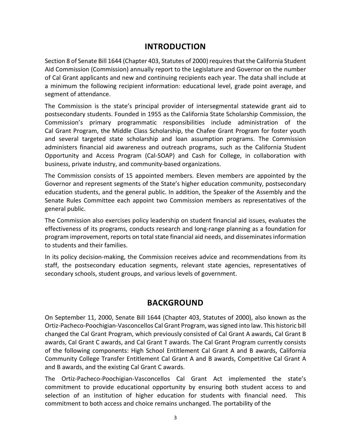## **INTRODUCTION**

Section 8 of Senate Bill 1644 (Chapter 403, Statutes of 2000) requires that the California Student Aid Commission (Commission) annually report to the Legislature and Governor on the number of Cal Grant applicants and new and continuing recipients each year. The data shall include at a minimum the following recipient information: educational level, grade point average, and segment of attendance.

The Commission is the state's principal provider of intersegmental statewide grant aid to postsecondary students. Founded in 1955 as the California State Scholarship Commission, the Commission's primary programmatic responsibilities include administration of the Cal Grant Program, the Middle Class Scholarship, the Chafee Grant Program for foster youth and several targeted state scholarship and loan assumption programs. The Commission administers financial aid awareness and outreach programs, such as the California Student Opportunity and Access Program (Cal-SOAP) and Cash for College, in collaboration with business, private industry, and community-based organizations.

The Commission consists of 15 appointed members. Eleven members are appointed by the Governor and represent segments of the State's higher education community, postsecondary education students, and the general public. In addition, the Speaker of the Assembly and the Senate Rules Committee each appoint two Commission members as representatives of the general public.

The Commission also exercises policy leadership on student financial aid issues, evaluates the effectiveness of its programs, conducts research and long-range planning as a foundation for program improvement, reports on total state financial aid needs, and disseminates information to students and their families.

In its policy decision-making, the Commission receives advice and recommendations from its staff, the postsecondary education segments, relevant state agencies, representatives of secondary schools, student groups, and various levels of government.

## **BACKGROUND**

On September 11, 2000, Senate Bill 1644 (Chapter 403, Statutes of 2000), also known as the Ortiz-Pacheco-Poochigian-Vasconcellos Cal Grant Program, was signed into law. This historic bill changed the Cal Grant Program, which previously consisted of Cal Grant A awards, Cal Grant B awards, Cal Grant C awards, and Cal Grant T awards. The Cal Grant Program currently consists of the following components: High School Entitlement Cal Grant A and B awards, California Community College Transfer Entitlement Cal Grant A and B awards, Competitive Cal Grant A and B awards, and the existing Cal Grant C awards.

The Ortiz-Pacheco-Poochigian-Vasconcellos Cal Grant Act implemented the state's commitment to provide educational opportunity by ensuring both student access to and selection of an institution of higher education for students with financial need. This commitment to both access and choice remains unchanged. The portability of the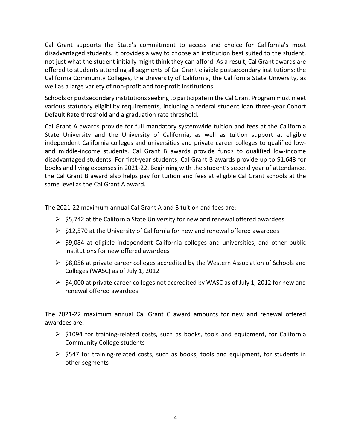Cal Grant supports the State's commitment to access and choice for California's most disadvantaged students. It provides a way to choose an institution best suited to the student, not just what the student initially might think they can afford. As a result, Cal Grant awards are offered to students attending all segments of Cal Grant eligible postsecondary institutions: the California Community Colleges, the University of California, the California State University, as well as a large variety of non-profit and for-profit institutions.

Schools or postsecondary institutions seeking to participate in the Cal Grant Program must meet various statutory eligibility requirements, including a federal student loan three-year Cohort Default Rate threshold and a graduation rate threshold.

Cal Grant A awards provide for full mandatory systemwide tuition and fees at the California State University and the University of California, as well as tuition support at eligible independent California colleges and universities and private career colleges to qualified lowand middle-income students. Cal Grant B awards provide funds to qualified low-income disadvantaged students. For first-year students, Cal Grant B awards provide up to \$1,648 for books and living expenses in 2021-22. Beginning with the student's second year of attendance, the Cal Grant B award also helps pay for tuition and fees at eligible Cal Grant schools at the same level as the Cal Grant A award.

The 2021-22 maximum annual Cal Grant A and B tuition and fees are:

- $\triangleright$  \$5,742 at the California State University for new and renewal offered awardees
- $\triangleright$  \$12,570 at the University of California for new and renewal offered awardees
- $\ge$  \$9,084 at eligible independent California colleges and universities, and other public institutions for new offered awardees
- $\triangleright$  \$8,056 at private career colleges accredited by the Western Association of Schools and Colleges (WASC) as of July 1, 2012
- $\ge$  \$4,000 at private career colleges not accredited by WASC as of July 1, 2012 for new and renewal offered awardees

The 2021-22 maximum annual Cal Grant C award amounts for new and renewal offered awardees are:

- $\triangleright$  \$1094 for training-related costs, such as books, tools and equipment, for California Community College students
- $\triangleright$  \$547 for training-related costs, such as books, tools and equipment, for students in other segments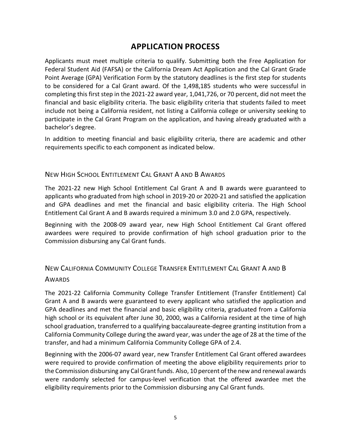## **APPLICATION PROCESS**

Applicants must meet multiple criteria to qualify. Submitting both the Free Application for Federal Student Aid (FAFSA) or the California Dream Act Application and the Cal Grant Grade Point Average (GPA) Verification Form by the statutory deadlines is the first step for students to be considered for a Cal Grant award. Of the 1,498,185 students who were successful in completing this first step in the 2021-22 award year, 1,041,726, or 70 percent, did not meet the financial and basic eligibility criteria. The basic eligibility criteria that students failed to meet include not being a California resident, not listing a California college or university seeking to participate in the Cal Grant Program on the application, and having already graduated with a bachelor's degree.

In addition to meeting financial and basic eligibility criteria, there are academic and other requirements specific to each component as indicated below.

#### NEW HIGH SCHOOL ENTITLEMENT CAL GRANT A AND B AWARDS

The 2021-22 new High School Entitlement Cal Grant A and B awards were guaranteed to applicants who graduated from high school in 2019-20 or 2020-21 and satisfied the application and GPA deadlines and met the financial and basic eligibility criteria. The High School Entitlement Cal Grant A and B awards required a minimum 3.0 and 2.0 GPA, respectively.

Beginning with the 2008-09 award year, new High School Entitlement Cal Grant offered awardees were required to provide confirmation of high school graduation prior to the Commission disbursing any Cal Grant funds.

# NEW CALIFORNIA COMMUNITY COLLEGE TRANSFER ENTITLEMENT CAL GRANT A AND B

#### **AWARDS**

The 2021-22 California Community College Transfer Entitlement (Transfer Entitlement) Cal Grant A and B awards were guaranteed to every applicant who satisfied the application and GPA deadlines and met the financial and basic eligibility criteria, graduated from a California high school or its equivalent after June 30, 2000, was a California resident at the time of high school graduation, transferred to a qualifying baccalaureate-degree granting institution from a California Community College during the award year, was under the age of 28 at the time of the transfer, and had a minimum California Community College GPA of 2.4.

Beginning with the 2006-07 award year, new Transfer Entitlement Cal Grant offered awardees were required to provide confirmation of meeting the above eligibility requirements prior to the Commission disbursing any Cal Grant funds. Also, 10 percent of the new and renewal awards were randomly selected for campus-level verification that the offered awardee met the eligibility requirements prior to the Commission disbursing any Cal Grant funds.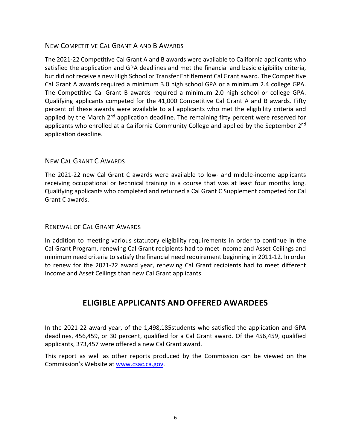## NEW COMPETITIVE CAL GRANT A AND B AWARDS

The 2021-22 Competitive Cal Grant A and B awards were available to California applicants who satisfied the application and GPA deadlines and met the financial and basic eligibility criteria, but did not receive a new High School or Transfer Entitlement Cal Grant award. The Competitive Cal Grant A awards required a minimum 3.0 high school GPA or a minimum 2.4 college GPA. The Competitive Cal Grant B awards required a minimum 2.0 high school or college GPA. Qualifying applicants competed for the 41,000 Competitive Cal Grant A and B awards. Fifty percent of these awards were available to all applicants who met the eligibility criteria and applied by the March  $2^{nd}$  application deadline. The remaining fifty percent were reserved for applicants who enrolled at a California Community College and applied by the September 2<sup>nd</sup> application deadline.

## NEW CAL GRANT C AWARDS

The 2021-22 new Cal Grant C awards were available to low- and middle-income applicants receiving occupational or technical training in a course that was at least four months long. Qualifying applicants who completed and returned a Cal Grant C Supplement competed for Cal Grant C awards.

## RENEWAL OF CAL GRANT AWARDS

In addition to meeting various statutory eligibility requirements in order to continue in the Cal Grant Program, renewing Cal Grant recipients had to meet Income and Asset Ceilings and minimum need criteria to satisfy the financial need requirement beginning in 2011-12. In order to renew for the 2021-22 award year, renewing Cal Grant recipients had to meet different Income and Asset Ceilings than new Cal Grant applicants.

## **ELIGIBLE APPLICANTS AND OFFERED AWARDEES**

In the 2021-22 award year, of the 1,498,185students who satisfied the application and GPA deadlines, 456,459, or 30 percent, qualified for a Cal Grant award. Of the 456,459, qualified applicants, 373,457 were offered a new Cal Grant award.

This report as well as other reports produced by the Commission can be viewed on the Commission's Website a[t www.csac.ca.gov.](http://www.csac.ca.gov/)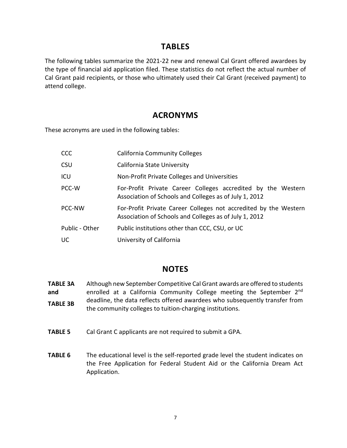## **TABLES**

The following tables summarize the 2021-22 new and renewal Cal Grant offered awardees by the type of financial aid application filed. These statistics do not reflect the actual number of Cal Grant paid recipients, or those who ultimately used their Cal Grant (received payment) to attend college.

## **ACRONYMS**

These acronyms are used in the following tables:

| <b>CCC</b>     | <b>California Community Colleges</b>                                                                                       |
|----------------|----------------------------------------------------------------------------------------------------------------------------|
| <b>CSU</b>     | California State University                                                                                                |
| ICU            | Non-Profit Private Colleges and Universities                                                                               |
| PCC-W          | For-Profit Private Career Colleges accredited by the Western<br>Association of Schools and Colleges as of July 1, 2012     |
| PCC-NW         | For-Profit Private Career Colleges not accredited by the Western<br>Association of Schools and Colleges as of July 1, 2012 |
| Public - Other | Public institutions other than CCC, CSU, or UC                                                                             |
| UC             | University of California                                                                                                   |

## **NOTES**

- **TABLE 3A and TABLE 3B** Although new September Competitive Cal Grant awards are offered to students enrolled at a California Community College meeting the September 2<sup>nd</sup> deadline, the data reflects offered awardees who subsequently transfer from the community colleges to tuition-charging institutions.
- **TABLE 5** Cal Grant C applicants are not required to submit a GPA.
- **TABLE 6** The educational level is the self-reported grade level the student indicates on the Free Application for Federal Student Aid or the California Dream Act Application.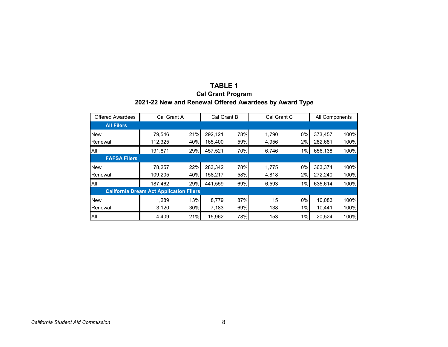## **TABLE 1**

## **Cal Grant Program 2021-22 New and Renewal Offered Awardees by Award Type**

| <b>Offered Awardees</b> | Cal Grant A                                    |     | Cal Grant B |     | Cal Grant C |    | All Components |      |
|-------------------------|------------------------------------------------|-----|-------------|-----|-------------|----|----------------|------|
| <b>All Filers</b>       |                                                |     |             |     |             |    |                |      |
| <b>New</b>              | 79,546                                         | 21% | 292.121     | 78% | 1.790       | 0% | 373,457        | 100% |
| Renewal                 | 112,325                                        | 40% | 165,400     | 59% | 4,956       | 2% | 282,681        | 100% |
| All                     | 191,871                                        | 29% | 457,521     | 70% | 6,746       | 1% | 656,138        | 100% |
| <b>FAFSA Filers</b>     |                                                |     |             |     |             |    |                |      |
| <b>New</b>              | 78,257                                         | 22% | 283,342     | 78% | 1.775       | 0% | 363,374        | 100% |
| Renewal                 | 109,205                                        | 40% | 158,217     | 58% | 4,818       | 2% | 272,240        | 100% |
| All                     | 187,462                                        | 29% | 441.559     | 69% | 6,593       | 1% | 635,614        | 100% |
|                         | <b>California Dream Act Application Filers</b> |     |             |     |             |    |                |      |
| <b>New</b>              | 1.289                                          | 13% | 8.779       | 87% | 15          | 0% | 10,083         | 100% |
| Renewal                 | 3,120                                          | 30% | 7,183       | 69% | 138         | 1% | 10,441         | 100% |
| All                     | 4,409                                          | 21% | 15.962      | 78% | 153         | 1% | 20.524         | 100% |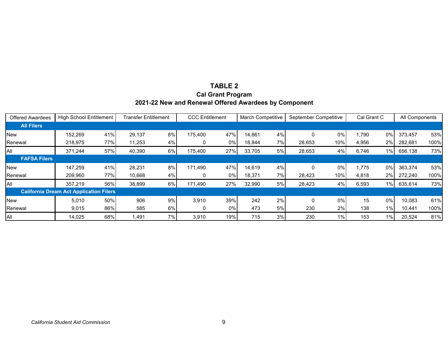## **TABLE 2 Cal Grant Program 2021-22 New and Renewal Offered Awardees by Component**

| Offered Awardees    | <b>High School Entitlement</b>                 |     | Transfer Entitlement |    | <b>CCC Entitlement</b> |       | March Competitive |     | September Competitive |       | Cal Grant C |       | All Components |      |
|---------------------|------------------------------------------------|-----|----------------------|----|------------------------|-------|-------------------|-----|-----------------------|-------|-------------|-------|----------------|------|
| <b>All Filers</b>   |                                                |     |                      |    |                        |       |                   |     |                       |       |             |       |                |      |
| <b>New</b>          | 152,269                                        | 41% | 29,137               | 8% | 175,400                | 47%   | 14.861            | 4%  |                       | 0%    | 790,        | 0%    | 373,457        | 53%  |
| Renewal             | 218,975                                        | 77% | 11,253               | 4% | 0                      | 0%    | 18,844            | 7%I | 28,653                | 10%   | 4,956       | 2%    | 282,681        | 100% |
| <b>AII</b>          | 371.244                                        | 57% | 40,390               | 6% | 175,400                | 27%   | 33,705            | 5%  | 28,653                | 4%    | 6,746       | 1%    | 656,138        | 73%  |
| <b>FAFSA Filers</b> |                                                |     |                      |    |                        |       |                   |     |                       |       |             |       |                |      |
| <b>New</b>          | 147.259                                        | 41% | 28,231               | 8% | 171.490                | 47%   | 14.619            | 4%  |                       | 0%    | 1,775       | 0%    | 363,374        | 53%  |
| Renewal             | 209,960                                        | 77% | 10,668               | 4% | 0                      | 0%    | 18,371            | 7%  | 28,423                | 10%   | 4,818       | 2%    | 272,240        | 100% |
| All                 | 357.219                                        | 56% | 38,899               | 6% | 171,490                | 27%   | 32,990            | 5%  | 28,423                | 4%    | 6,593       | 1%    | 635,614        | 73%  |
|                     | <b>California Dream Act Application Filers</b> |     |                      |    |                        |       |                   |     |                       |       |             |       |                |      |
| <b>New</b>          | 5,010                                          | 50% | 906                  | 9% | 3,910                  | 39%   | 242               | 2%  |                       | 0%    | 15          | 0%    | 10,083         | 61%  |
| Renewal             | 9,015                                          | 86% | 585                  | 6% |                        | $0\%$ | 473               | 5%  | 230                   | 2%    | 138         | 1%    | 10,441         | 100% |
| All                 | 14,025                                         | 68% | 1,491                | 7% | 3,910                  | 19%   | 715               | 3%  | 230                   | $1\%$ | 153         | $1\%$ | 20,524         | 81%  |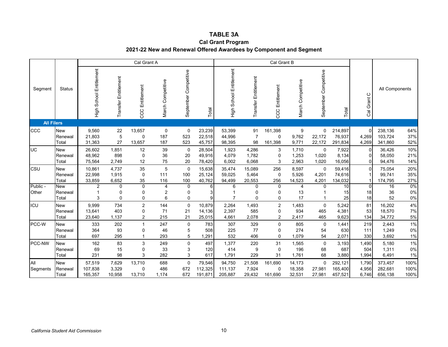#### **TABLE 3A**

#### **Cal Grant Program 2021-22 New and Renewal Offered Awardees by Component and Segment**

|                   |                                |                              |                                        | Cal Grant A                           |                                                |                                         |                              |                              |                            | Cal Grant B                                       |                            |                                 |                               |                         |                               |                      |
|-------------------|--------------------------------|------------------------------|----------------------------------------|---------------------------------------|------------------------------------------------|-----------------------------------------|------------------------------|------------------------------|----------------------------|---------------------------------------------------|----------------------------|---------------------------------|-------------------------------|-------------------------|-------------------------------|----------------------|
| Segment           | <b>Status</b>                  | Entitlement<br>High School   | Entitlement<br>Transfer                | Entitlement<br>CCC                    | March Competitive                              | September Competitive                   | Total                        | School Entitlement<br>동<br>도 | Transfer Entitlement       | Entitlement<br>CCC                                | March Competitive          | September Competitive           | Total                         | $\circ$<br>Grant<br>ලි  | All Components                |                      |
| <b>All Filers</b> |                                |                              |                                        |                                       |                                                |                                         |                              |                              |                            |                                                   |                            |                                 |                               |                         |                               |                      |
| CCC               | <b>New</b><br>Renewal<br>Total | 9,560<br>21,803<br>31,363    | 22<br>5<br>27                          | 13,657<br>0<br>13,657                 | $\mathbf 0$<br>187<br>187                      | $\mathbf 0$<br>523<br>523               | 23,239<br>22,518<br>45,757   | 53,399<br>44,996<br>98,395   | 91<br>$\overline{7}$<br>98 | 161,398<br>$\mathbf 0$<br>161,398                 | 9<br>9,762<br>9,771        | $\mathbf 0$<br>22,172<br>22,172 | 214,897<br>76,937<br>291,834  | 0<br>4,269<br>4,269     | 238,136<br>103,724<br>341,860 | 64%<br>37%<br>52%    |
| <b>UC</b>         | <b>New</b><br>Renewal<br>Total | 26,602<br>48,962<br>75,564   | 1,851<br>898<br>2,749                  | 12<br>0<br>12                         | 39<br>36<br>75                                 | $\mathbf 0$<br>20<br>20                 | 28,504<br>49,916<br>78,420   | 1,923<br>4,079<br>6,002      | 4,286<br>1,782<br>6,068    | 3<br>0<br>3                                       | 1,710<br>1,253<br>2,963    | $\mathbf 0$<br>1,020<br>1,020   | 7,922<br>8,134<br>16,056      | $\mathbf 0$<br>0<br>0   | 36,426<br>58,050<br>94,476    | 10%<br>21%<br>14%    |
| CSU               | <b>New</b><br>Renewal<br>Total | 10,861<br>22,998<br>33,859   | 4,737<br>1,915<br>6,652                | 35<br>0<br>35                         | 5<br>111<br>116                                | $\mathbf 0$<br>100<br>100               | 15,638<br>25,124<br>40,762   | 35,474<br>59,025<br>94,499   | 15,089<br>5,464<br>20,553  | 256<br>$\mathbf 0$<br>256                         | 8,597<br>5,926<br>14,523   | $\Omega$<br>4,201<br>4,201      | 59,416<br>74,616<br>134,032   | $\Omega$<br>1           | 75,054<br>99,741<br>174,795   | 20%<br>35%<br>27%    |
| Public -<br>Other | <b>New</b><br>Renewal<br>Total | 2<br>3                       | $\mathbf 0$<br>$\mathbf 0$<br>$\Omega$ | 0<br>0<br>0                           | $\overline{4}$<br>$\overline{\mathbf{c}}$<br>6 | $\mathbf 0$<br>$\pmb{0}$<br>$\mathbf 0$ | 6<br>9                       | 6<br>7                       | 0<br>0<br>$\Omega$         | $\mathbf 0$<br>$\mathbf 0$<br>$\mathbf 0$         | $\overline{4}$<br>13<br>17 | $\Omega$                        | 10<br>15<br>25                | $\Omega$<br>18<br>18    | 16<br>36<br>52                | $0\%$<br>0%<br>0%    |
| ICU               | <b>New</b><br>Renewal<br>Total | 9,999<br>13,641<br>23,640    | 734<br>403<br>1,137                    | $\overline{c}$<br>0<br>$\overline{2}$ | 144<br>71<br>215                               | $\mathbf 0$<br>21<br>21                 | 10,879<br>14,136<br>25,015   | 2,264<br>2,397<br>4,661      | 1,493<br>585<br>2,078      | $\boldsymbol{2}$<br>$\mathbf 0$<br>$\overline{2}$ | 1,483<br>934<br>2,417      | $\mathbf 0$<br>465<br>465       | 5,242<br>4,381<br>9,623       | 81<br>53<br>134         | 16,202<br>18,570<br>34,772    | 4%<br>7%<br>5%       |
| PCC-W             | <b>New</b><br>Renewal<br>Total | 333<br>364<br>697            | 202<br>93<br>295                       | $\mathbf{1}$<br>0<br>1                | 247<br>46<br>293                               | $\mathbf 0$<br>5<br>5                   | 783<br>508<br>1,291          | 307<br>225<br>532            | 329<br>77<br>406           | $\mathbf 0$<br>$\mathbf 0$<br>0                   | 805<br>274<br>1,079        | $\mathbf 0$<br>54<br>54         | 1,441<br>630<br>2,071         | 219<br>111<br>330       | 2,443<br>1,249<br>3,692       | 1%<br>0%<br>1%       |
| PCC-NW            | <b>New</b><br>Renewal<br>Total | 162<br>69<br>231             | 83<br>15<br>98                         | 3<br>0<br>3                           | 249<br>33<br>282                               | $\mathbf 0$<br>3<br>3                   | 497<br>120<br>617            | 1,377<br>414<br>1,791        | 220<br>9<br>229            | 31<br>$\mathbf 0$<br>31                           | 1,565<br>196<br>1,761      | $\mathbf 0$<br>68<br>68         | 3,193<br>687<br>3,880         | 1,490<br>504<br>1,994   | 5,180<br>1,311<br>6,491       | 1%<br>0%<br>1%       |
| All<br>Segments   | <b>New</b><br>Renewal<br>Total | 57,519<br>107,838<br>165,357 | 7,629<br>3,329<br>10,958               | 13,710<br>0<br>13,710                 | 688<br>486<br>1,174                            | $\Omega$<br>672<br>672                  | 79,546<br>112,325<br>191,871 | 94,750<br>111,137<br>205,887 | 21,508<br>7,924<br>29,432  | 161,690<br>0<br>161,690                           | 14,173<br>18,358<br>32,531 | $\Omega$<br>27,981<br>27,981    | 292,121<br>165,400<br>457,521 | 1,790<br>4,956<br>6,746 | 373,457<br>282,681<br>656,138 | 100%<br>100%<br>100% |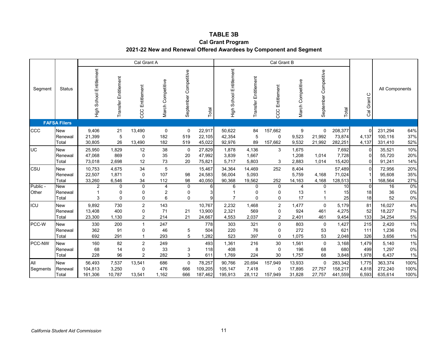#### **TABLE 3B**

#### **Cal Grant Program 2021-22 New and Renewal Offered Awardees by Component and Segment**

|                   |                                |                              |                                           | Cal Grant A                           |                           |                                 |                              |                              |                           | Cal Grant B                                          |                                    |                                 |                               |                          |                               |                      |
|-------------------|--------------------------------|------------------------------|-------------------------------------------|---------------------------------------|---------------------------|---------------------------------|------------------------------|------------------------------|---------------------------|------------------------------------------------------|------------------------------------|---------------------------------|-------------------------------|--------------------------|-------------------------------|----------------------|
| Segment           | <b>Status</b>                  | Entitlement<br>High School   | Entitlement<br>Transfer                   | Entitlement<br>CCC                    | March Competitive         | September Competitive           | Total                        | School Entitlement<br>등<br>도 | Transfer Entitlement      | Entitlement<br>CCC                                   | March Competitive                  | September Competitive           | Total                         | $\circ$<br>Cal Grant     | All Components                |                      |
|                   | <b>FAFSA Filers</b>            |                              |                                           |                                       |                           |                                 |                              |                              |                           |                                                      |                                    |                                 |                               |                          |                               |                      |
| CCC               | <b>New</b><br>Renewal<br>Total | 9,406<br>21,399<br>30,805    | 21<br>5<br>26                             | 13,490<br>0<br>13,490                 | $\mathbf 0$<br>182<br>182 | $\mathbf 0$<br>519<br>519       | 22,917<br>22,105<br>45,022   | 50,622<br>42,354<br>92,976   | 84<br>5<br>89             | 157,662<br>$\mathbf 0$<br>157,662                    | $\boldsymbol{9}$<br>9,523<br>9,532 | $\mathbf 0$<br>21,992<br>21,992 | 208,377<br>73,874<br>282,251  | 0<br>4,137<br>4,137      | 231,294<br>100,116<br>331,410 | 64%<br>37%<br>52%    |
| UC                | <b>New</b><br>Renewal<br>Total | 25,950<br>47,068<br>73,018   | 1,829<br>869<br>2,698                     | 12<br>$\pmb{0}$<br>12                 | 38<br>35<br>73            | $\mathbf 0$<br>20<br>20         | 27,829<br>47,992<br>75,821   | 1,878<br>3,839<br>5,717      | 4,136<br>1,667<br>5,803   | 3<br>3                                               | 1,675<br>1,208<br>2,883            | 1,014<br>1,014                  | 7,692<br>7,728<br>15,420      | $\mathbf 0$<br>0<br>0    | 35,521<br>55,720<br>91,241    | 10%<br>20%<br>14%    |
| CSU               | <b>New</b><br>Renewal<br>Total | 10,753<br>22,507<br>33,260   | 4,675<br>1,871<br>6,546                   | 34<br>0<br>34                         | 5<br>107<br>112           | 98<br>98                        | 15,467<br>24,583<br>40,050   | 34,364<br>56,004<br>90,368   | 14,469<br>5,093<br>19,562 | 252<br>252                                           | 8,404<br>5,759<br>14,163           | 4,168<br>4,168                  | 57,489<br>71,024<br>128,513   | $\mathbf 0$<br>1         | 72,956<br>95,608<br>168,564   | 20%<br>35%<br>27%    |
| Public -<br>Other | <b>New</b><br>Renewal<br>Total | 2<br>3                       | $\mathbf 0$<br>$\mathbf 0$<br>$\mathbf 0$ | 0<br>0<br>0                           | $\overline{4}$<br>2<br>6  | $\mathbf 0$<br>0<br>$\mathbf 0$ | 6<br>9                       | 6<br>$\overline{7}$          | 0<br>0<br>0               | $\mathbf 0$<br>0<br>$\mathbf 0$                      | $\overline{4}$<br>13<br>17         | $\Omega$                        | 10<br>15<br>25                | $\mathbf{0}$<br>18<br>18 | 16<br>36<br>52                | 0%<br>0%<br>0%       |
| ICU               | <b>New</b><br>Renewal<br>Total | 9,892<br>13,408<br>23,300    | 730<br>400<br>1,130                       | $\mathbf 2$<br>0<br>2                 | 143<br>71<br>214          | 21<br>21                        | 10,767<br>13,900<br>24,667   | 2,232<br>2,321<br>4,553      | 1,468<br>569<br>2,037     | $\overline{\mathbf{c}}$<br>$\mathbf 0$<br>$\sqrt{2}$ | 1,477<br>924<br>2,401              | $\mathbf 0$<br>461<br>461       | 5,179<br>4,275<br>9,454       | 81<br>52<br>133          | 16,027<br>18,227<br>34,254    | 4%<br>7%<br>5%       |
| PCC-W             | <b>New</b><br>Renewal<br>Total | 330<br>362<br>692            | 200<br>91<br>291                          | $\mathbf 1$<br>0<br>1                 | 247<br>46<br>293          | 5<br>5                          | 778<br>504<br>1,282          | 303<br>220<br>523            | 321<br>76<br>397          | $\mathbf 0$<br>0<br>0                                | 803<br>272<br>1,075                | $\mathbf 0$<br>53<br>53         | 1,427<br>621<br>2,048         | 215<br>111<br>326        | 2,420<br>1,236<br>3,656       | 1%<br>0%<br>1%       |
| PCC-NW            | <b>New</b><br>Renewal<br>Total | 160<br>68<br>228             | 82<br>14<br>96                            | $\overline{c}$<br>0<br>$\overline{2}$ | 249<br>33<br>282          | 3<br>$\sqrt{3}$                 | 493<br>118<br>611            | 1,361<br>408<br>1,769        | 216<br>8<br>224           | 30<br>$\mathbf 0$<br>30                              | 1,561<br>196<br>1,757              | $\pmb{0}$<br>68<br>68           | 3,168<br>680<br>3,848         | 1,479<br>499<br>1,978    | 5,140<br>1,297<br>6,437       | 1%<br>0%<br>1%       |
| All<br>Segments   | <b>New</b><br>Renewal<br>Total | 56,493<br>104,813<br>161,306 | 7,537<br>3,250<br>10,787                  | 13,541<br>0<br>13,541                 | 686<br>476<br>1,162       | $\Omega$<br>666<br>666          | 78,257<br>109,205<br>187,462 | 90,766<br>105,147<br>195,913 | 20,694<br>7,418<br>28,112 | 157,949<br>$\Omega$<br>157,949                       | 13,933<br>17,895<br>31,828         | $\Omega$<br>27,757<br>27,757    | 283,342<br>158,217<br>441,559 | 1,775<br>4,818<br>6,593  | 363,374<br>272,240<br>635,614 | 100%<br>100%<br>100% |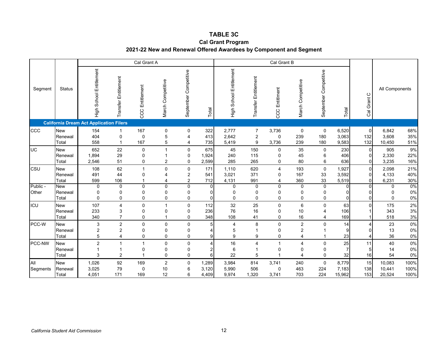#### **TABLE 3C**

#### **Cal Grant Program 2021-22 New and Renewal Offered Awardees by Component and Segment**

|                   |                                |                                                |                                                    | Cal Grant A               |                                         |                                               |                          |                               |                                         | Cal Grant B                                |                                       |                           |                                  |                                                 |                                      |                      |
|-------------------|--------------------------------|------------------------------------------------|----------------------------------------------------|---------------------------|-----------------------------------------|-----------------------------------------------|--------------------------|-------------------------------|-----------------------------------------|--------------------------------------------|---------------------------------------|---------------------------|----------------------------------|-------------------------------------------------|--------------------------------------|----------------------|
| Segment           | <b>Status</b>                  | High School Entitlement                        | Entitlement<br>Transfer                            | Entitlement<br>CCC        | March Competitive                       | September Competitive                         | Total                    | School Entitlement<br>.<br>도구 | Transfer Entitlement                    | Entitlment<br>CCC                          | March Competitive                     | September Competitive     | Total                            | $\circ$<br>Grant<br>ලි                          | All Components                       |                      |
|                   |                                | <b>California Dream Act Application Filers</b> |                                                    |                           |                                         |                                               |                          |                               |                                         |                                            |                                       |                           |                                  |                                                 |                                      |                      |
| CCC               | <b>New</b><br>Renewal<br>Total | 154<br>404<br>558                              | $\mathbf{1}$<br>$\mathbf 0$<br>$\mathbf{1}$        | 167<br>0<br>167           | $\mathbf 0$<br>5<br>5                   | $\pmb{0}$<br>$\overline{4}$<br>$\overline{4}$ | 322<br>413<br>735        | 2,777<br>2,642<br>5,419       | $\overline{7}$<br>$\boldsymbol{2}$<br>9 | 3,736<br>0<br>3,736                        | $\pmb{0}$<br>239<br>239               | 0<br>180<br>180           | 6,520<br>3,063<br>9,583          | $\overline{0}$<br>132<br>132                    | 6,842<br>3,608<br>10,450             | 68%<br>35%<br>51%    |
| UC                | <b>New</b><br>Renewal<br>Total | 652<br>1,894<br>2,546                          | 22<br>29<br>51                                     | $\mathbf 0$<br>0<br>0     | $\mathbf{1}$<br>2                       | $\mathbf 0$<br>$\mathbf 0$<br>$\mathbf 0$     | 675<br>1,924<br>2,599    | 45<br>240<br>285              | 150<br>115<br>265                       | 0<br>0<br>0                                | 35<br>45<br>80                        | $\mathbf 0$<br>6<br>6     | 230<br>406<br>636                | $\mathbf 0$<br>$\overline{0}$<br>$\overline{0}$ | 905<br>2,330<br>3,235                | 9%<br>22%<br>16%     |
| CSU               | <b>New</b><br>Renewal<br>Total | 108<br>491<br>599                              | 62<br>44<br>106                                    | 1<br>0<br>1               | 0<br>4<br>4                             | $\pmb{0}$<br>$\overline{c}$<br>$\overline{2}$ | 171<br>541<br>712        | 1,110<br>3,021<br>4,131       | 620<br>371<br>991                       | 4<br>0<br>4                                | 193<br>167<br>360                     | $\mathbf 0$<br>33<br>33   | 1,927<br>3,592<br>5,519          | $\overline{0}$<br>$\overline{0}$<br>$\Omega$    | 2,098<br>4,133<br>6,231              | 21%<br>40%<br>30%    |
| Public -<br>Other | <b>New</b><br>Renewal<br>Total | $\Omega$<br>0<br>$\Omega$                      | $\mathbf 0$<br>0<br>$\mathbf 0$                    | 0<br>0<br>0               | 0<br>$\mathbf 0$<br>$\pmb{0}$           | $\mathbf 0$<br>0<br>$\mathbf 0$               | 0<br>0<br>0              | $\Omega$<br>0<br>$\Omega$     | $\Omega$<br>0<br>$\mathbf 0$            | $\mathbf{0}$<br>$\mathbf 0$<br>$\mathbf 0$ | $\mathbf 0$<br>0<br>$\mathbf 0$       | 0<br>0<br>0               | $\Omega$<br>$\Omega$<br>$\Omega$ | $\Omega$<br>$\Omega$<br>$\overline{0}$          | $\Omega$<br>$\Omega$<br>$\mathbf{0}$ | $0\%$<br>0%<br>0%    |
| ICU               | <b>New</b><br>Renewal<br>Total | 107<br>233<br>340                              | $\overline{4}$<br>3<br>$\overline{7}$              | 0<br>0<br>0               | 1<br>$\mathbf 0$<br>1                   | $\mathbf 0$<br>$\mathbf 0$<br>$\mathbf 0$     | 112<br>236<br>348        | 32<br>76<br>108               | 25<br>16<br>41                          | 0<br>0<br>0                                | $\,6\,$<br>10<br>16                   | $\Omega$<br>4<br>4        | 63<br>106<br>169                 | $\Omega$                                        | 175<br>343<br>518                    | 2%<br>3%<br>3%       |
| PCC-W             | <b>New</b><br>Renewal<br>Total | 3<br>$\overline{\mathbf{c}}$<br>5              | $\overline{2}$<br>$\overline{2}$<br>$\overline{4}$ | 0<br>0<br>0               | $\mathbf 0$<br>0<br>$\mathbf 0$         | $\mathbf 0$<br>$\mathbf 0$<br>$\mathbf 0$     | 5<br>4<br>9              | 4<br>5<br>9                   | 8<br>1<br>9                             | $\mathbf 0$<br>0<br>0                      | $\overline{2}$<br>2<br>4              | $\Omega$                  | 14<br>9<br>23                    | 4<br>$\Omega$<br>4                              | 23<br>13<br>36                       | 0%<br>0%<br>0%       |
| PCC-NW            | <b>New</b><br>Renewal<br>Total | $\overline{2}$<br>1<br>3                       | $\mathbf{1}$<br>$\mathbf{1}$<br>$\overline{2}$     | 1<br>0<br>4               | $\mathbf 0$<br>$\pmb{0}$<br>$\mathbf 0$ | $\mathbf 0$<br>$\mathbf 0$<br>$\mathbf 0$     | 4<br>$\overline{c}$<br>6 | 16<br>6<br>22                 | 4<br>$\overline{1}$<br>5                | 1<br>$\pmb{0}$<br>$\overline{1}$           | $\overline{4}$<br>0<br>$\overline{4}$ | 0<br>0<br>0               | 25<br>$\overline{7}$<br>32       | 11<br>5 <sup>5</sup><br>16                      | 40<br>14<br>54                       | 0%<br>0%<br>0%       |
| All<br>Segments   | <b>New</b><br>Renewal<br>Total | 1,026<br>3,025<br>4,051                        | 92<br>79<br>171                                    | 169<br>$\mathbf 0$<br>169 | 2<br>10<br>12                           | $\mathbf 0$<br>6<br>6                         | 1,289<br>3,120<br>4,409  | 3,984<br>5,990<br>9,974       | 814<br>506<br>1,320                     | 3,741<br>0<br>3,741                        | 240<br>463<br>703                     | $\mathbf 0$<br>224<br>224 | 8,779<br>7,183<br>15,962         | 15<br>138<br>153                                | 10,083<br>10,441<br>20,524           | 100%<br>100%<br>100% |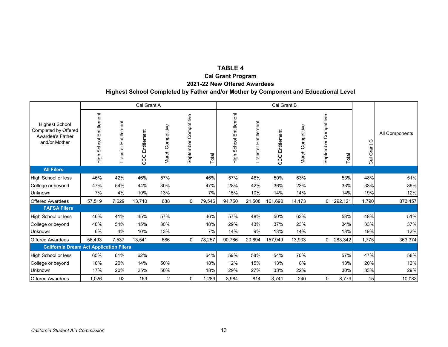## **TABLE 4**

**Cal Grant Program**

**2021-22 New Offered Awardees**

#### **Highest School Completed by Father and/or Mother by Component and Educational Level**

|                                                                                           |                              |                      | Cal Grant A        |                   |                          |        |                         |                      | Cal Grant B        |                   |                          |         |                |                |
|-------------------------------------------------------------------------------------------|------------------------------|----------------------|--------------------|-------------------|--------------------------|--------|-------------------------|----------------------|--------------------|-------------------|--------------------------|---------|----------------|----------------|
| <b>Highest School</b><br>Completed by Offered<br><b>Awardee's Father</b><br>and/or Mother | School Entitlement<br>수<br>도 | Transfer Entitlement | Entitlement<br>CCC | March Competitive | Competitive<br>September | Total  | High School Entitlement | Transfer Entitlement | Entitlement<br>CCC | March Competitive | Competitive<br>September | Total   | ပ<br>Cal Grant | All Components |
| <b>All Filers</b>                                                                         |                              |                      |                    |                   |                          |        |                         |                      |                    |                   |                          |         |                |                |
| High School or less                                                                       | 46%                          | 42%                  | 46%                | 57%               |                          | 46%    | 57%                     | 48%                  | 50%                | 63%               |                          | 53%     | 48%            | 51%            |
| College or beyond                                                                         | 47%                          | 54%                  | 44%                | 30%               |                          | 47%    | 28%                     | 42%                  | 36%                | 23%               |                          | 33%     | 33%            | 36%            |
| <b>Unknown</b>                                                                            | 7%                           | 4%                   | 10%                | 13%               |                          | 7%     | 15%                     | 10%                  | 14%                | 14%               |                          | 14%     | 19%            | 12%            |
| <b>Offered Awardees</b>                                                                   | 57,519                       | 7,629                | 13,710             | 688               | 0                        | 79,546 | 94,750                  | 21,508               | 161,690            | 14,173            | 0                        | 292,121 | 1,790          | 373,457        |
| <b>FAFSA Filers</b>                                                                       |                              |                      |                    |                   |                          |        |                         |                      |                    |                   |                          |         |                |                |
| High School or less                                                                       | 46%                          | 41%                  | 45%                | 57%               |                          | 46%    | 57%                     | 48%                  | 50%                | 63%               |                          | 53%     | 48%            | 51%            |
| College or beyond                                                                         | 48%                          | 54%                  | 45%                | 30%               |                          | 48%    | 29%                     | 43%                  | 37%                | 23%               |                          | 34%     | 33%            | 37%            |
| <b>Unknown</b>                                                                            | 6%                           | 4%                   | 10%                | 13%               |                          | 7%     | 14%                     | 9%                   | 13%                | 14%               |                          | 13%     | 19%            | 12%            |
| <b>Offered Awardees</b>                                                                   | 56,493                       | 7,537                | 13,541             | 686               | 0                        | 78,257 | 90,766                  | 20,694               | 157,949            | 13,933            | 0                        | 283,342 | 1,775          | 363,374        |
| <b>California Dream Act Application Filers</b>                                            |                              |                      |                    |                   |                          |        |                         |                      |                    |                   |                          |         |                |                |
| High School or less                                                                       | 65%                          | 61%                  | 62%                |                   |                          | 64%    | 59%                     | 58%                  | 54%                | 70%               |                          | 57%     | 47%            | 58%            |
| College or beyond                                                                         | 18%                          | 20%                  | 14%                | 50%               |                          | 18%    | 12%                     | 15%                  | 13%                | 8%                |                          | 13%     | 20%            | 13%            |
| Unknown                                                                                   | 17%                          | 20%                  | 25%                | 50%               |                          | 18%    | 29%                     | 27%                  | 33%                | 22%               |                          | 30%     | 33%            | 29%            |
| <b>Offered Awardees</b>                                                                   | 1,026                        | 92                   | 169                | 2                 | 0                        | 1,289  | 3,984                   | 814                  | 3,741              | 240               | 0                        | 8,779   | 15             | 10,083         |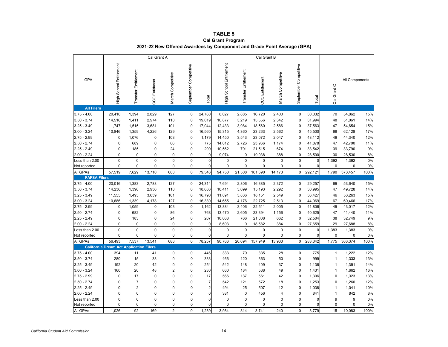#### **TABLE 5 Cal Grant Program 2021-22 New Offered Awardees by Component and Grade Point Average (GPA)**

|                     |                                                |                             | Cal Grant A           |                   |                       |                         |                         |                      | Cal Grant B            |                   |                       |             |                |                |      |
|---------------------|------------------------------------------------|-----------------------------|-----------------------|-------------------|-----------------------|-------------------------|-------------------------|----------------------|------------------------|-------------------|-----------------------|-------------|----------------|----------------|------|
| GPA                 | High School Entitlement                        | <b>Transfer Entitlement</b> | <b>CCC EntitIment</b> | March Competitive | September Competitive | Total                   | High School Entitlement | Transfer Entitlement | <b>CCC Entitlement</b> | March Competitive | September Competitive | Total       | Cal Grant C    | All Components |      |
| <b>All Filers</b>   |                                                |                             |                       |                   |                       |                         |                         |                      |                        |                   |                       |             |                |                |      |
| $3.75 - 4.00$       | 20,410                                         | 1,394                       | 2,829                 | 127               | 0                     | 24,760                  | 8,027                   | 2,885                | 16,720                 | 2,400             | 0                     | 30,032      | 70             | 54,862         | 15%  |
| $3.50 - 3.74$       | 14,516                                         | 1,411                       | 2,974                 | 118               | $\pmb{0}$             | 19,019                  | 10,877                  | 3,219                | 15,556                 | 2,342             | 0                     | 31,994      | 48             | 51,061         | 14%  |
| $3.25 - 3.49$       | 11,747                                         | 1,515                       | 3,681                 | 101               | 0                     | 17,044                  | 12,433                  | 3,984                | 18,560                 | 2,586             | 0                     | 37,563      | 47             | 54,654         | 15%  |
| $3.00 - 3.24$       | 10,846                                         | 1,359                       | 4,226                 | 129               | $\mathbf 0$           | 16,560                  | 15,315                  | 4,360                | 23,263                 | 2,562             | 0                     | 45,500      | 68             | 62,128         | 17%  |
| $2.75 - 2.99$       | 0                                              | 1,076                       | $\mathbf 0$           | 103               | $\mathbf 0$           | 1,179                   | 14,450                  | 3,543                | 23,072                 | 2,047             | 0                     | 43,112      | 49             | 44,340         | 12%  |
| $2.50 - 2.74$       | $\mathbf 0$                                    | 689                         | $\mathsf 0$           | 86                | $\pmb{0}$             | 775                     | 14,012                  | 2,726                | 23,966                 | 1,174             | 0                     | 41,878      | 47             | 42,700         | 11%  |
| $2.25 - 2.49$       | $\mathbf 0$                                    | 185                         | 0                     | 24                | 0                     | 209                     | 10,562                  | 791                  | 21,515                 | 674               | 0                     | 33,542      | 39             | 33,790         | 9%   |
| $2.00 - 2.24$       | 0                                              | $\mathbf 0$                 | 0                     | 0                 | 0                     | $\mathbf 0$             | 9,074                   | $\mathbf 0$          | 19,038                 | 388               | 0                     | 28,500      | 30             | 28,530         | 8%   |
| Less than 2.00      | $\mathbf 0$                                    | $\mathbf 0$                 | $\mathbf 0$           | $\mathbf 0$       | $\mathbf 0$           | $\pmb{0}$               | $\pmb{0}$               | $\mathbf 0$          | 0                      | 0                 | $\mathbf 0$           | $\Omega$    | 1,392          | 1,392          | 0%   |
| Not reported        | $\mathbf 0$                                    | $\mathbf 0$                 | $\pmb{0}$             | 0                 | $\pmb{0}$             | $\mathbf 0$             | 0                       | $\mathbf 0$          | 0                      | 0                 | 0                     | 0           | $\pmb{0}$      | $\mathbf 0$    | 0%   |
| All GPAs            | 57,519                                         | 7,629                       | 13,710                | 688               | $\mathbf 0$           | 79,546                  | 94,750                  | 21,508               | 161,690                | 14,173            | $\mathbf 0$           | 292,121     | 1,790          | 373,457        | 100% |
| <b>FAFSA Filers</b> |                                                |                             |                       |                   |                       |                         |                         |                      |                        |                   |                       |             |                |                |      |
| $3.75 - 4.00$       | 20,016                                         | 1,383                       | 2,788                 | 127               | 0                     | 24,314                  | 7,694                   | 2,806                | 16,385                 | 2,372             | 0                     | 29,257      | 69             | 53,640         | 15%  |
| $3.50 - 3.74$       | 14,236                                         | 1,396                       | 2,936                 | 118               | $\pmb{0}$             | 18,686                  | 10,411                  | 3,099                | 15,193                 | 2,292             | 0                     | 30,995      | 47             | 49,728         | 14%  |
| $3.25 - 3.49$       | 11,555                                         | 1,495                       | 3,639                 | 101               | 0                     | 16,790                  | 11,891                  | 3,836                | 18,151                 | 2,549             | 0                     | 36,427      | 46             | 53,263         | 15%  |
| $3.00 - 3.24$       | 10,686                                         | 1,339                       | 4,178                 | 127               | $\mathbf 0$           | 16,330                  | 14,655                  | 4,176                | 22,725                 | 2,513             | $\mathbf 0$           | 44,069      | 67             | 60,466         | 17%  |
| $2.75 - 2.99$       | 0                                              | 1,059                       | $\pmb{0}$             | 103               | $\mathbf 0$           | 1,162                   | 13,884                  | 3,406                | 22,511                 | 2,005             | $\mathbf 0$           | 41,806      | 49             | 43,017         | 12%  |
| $2.50 - 2.74$       | $\pmb{0}$                                      | 682                         | $\mathsf 0$           | 86                | $\pmb{0}$             | 768                     | 13,470                  | 2,605                | 23,394                 | 1,156             | 0                     | 40,625      | 47             | 41,440         | 11%  |
| $2.25 - 2.49$       | $\mathbf 0$                                    | 183                         | $\mathbf 0$           | 24                | $\mathbf 0$           | 207                     | 10,068                  | 766                  | 21,008                 | 662               | 0                     | 32,504      | 38             | 32,749         | 9%   |
| $2.00 - 2.24$       | 0                                              | $\mathbf 0$                 | $\mathsf 0$           | 0                 | 0                     | 0                       | 8,693                   | $\mathbf 0$          | 18,582                 | 384               | 0                     | 27,659      | 29             | 27,688         | 8%   |
| Less than 2.00      | $\mathbf 0$                                    | $\mathbf 0$                 | $\mathbf 0$           | $\mathbf 0$       | $\mathbf 0$           | $\mathsf{O}\xspace$     | $\mathbf 0$             | $\mathbf 0$          | $\mathbf 0$            | 0                 | $\mathbf 0$           | $\Omega$    | 1,383          | 1,383          | 0%   |
| Not reported        | $\mathbf 0$                                    | $\mathbf 0$                 | $\pmb{0}$             | 0                 | 0                     | $\mathbf 0$             | 0                       | $\mathbf 0$          | 0                      | 0                 | 0                     | $\mathbf 0$ | $\mathbf 0$    | $\mathbf 0$    | 0%   |
| All GPAs            | 56,493                                         | 7,537                       | 13,541                | 686               | $\mathbf 0$           | 78,257                  | 90,766                  | 20,694               | 157,949                | 13,933            | 0                     | 283,342     | 1,775          | 363,374        | 100% |
|                     | <b>California Dream Act Application Filers</b> |                             |                       |                   |                       |                         |                         |                      |                        |                   |                       |             |                |                |      |
| $3.75 - 4.00$       | 394                                            | 11                          | 41                    | 0                 | $\mathbf 0$           | 446                     | 333                     | 79                   | 335                    | 28                | 0                     | 775         | $\overline{1}$ | 1,222          | 12%  |
| $3.50 - 3.74$       | 280                                            | 15                          | 38                    | 0                 | $\mathbf 0$           | 333                     | 466                     | 120                  | 363                    | 50                | $\mathbf 0$           | 999         | 1              | 1,333          | 13%  |
| $3.25 - 3.49$       | 192                                            | 20                          | 42                    | 0                 | 0                     | 254                     | 542                     | 148                  | 409                    | 37                | 0                     | 1,136       | 1              | 1,391          | 14%  |
| $3.00 - 3.24$       | 160                                            | 20                          | 48                    | $\overline{2}$    | 0                     | 230                     | 660                     | 184                  | 538                    | 49                | 0                     | 1,431       | $\overline{1}$ | 1,662          | 16%  |
| $2.75 - 2.99$       | $\mathbf 0$                                    | 17                          | $\mathbf{0}$          | 0                 | $\mathbf 0$           | 17                      | 566                     | 137                  | 561                    | 42                | $\mathbf 0$           | 1,306       | $\mathbf{0}$   | 1,323          | 13%  |
| $2.50 - 2.74$       | $\mathbf 0$                                    | $\overline{7}$              | $\pmb{0}$             | 0                 | 0                     | $\overline{7}$          | 542                     | 121                  | 572                    | 18                | 0                     | 1,253       | $\mathbf 0$    | 1,260          | 12%  |
| $2.25 - 2.49$       | $\mathbf 0$                                    | $\overline{2}$              | $\mathbf 0$           | $\overline{0}$    | 0                     | $\overline{\mathbf{c}}$ | 494                     | 25                   | 507                    | 12                | $\mathbf 0$           | 1,038       | 1              | 1,041          | 10%  |
| $2.00 - 2.24$       | 0                                              | 0                           | $\pmb{0}$             | 0                 | 0                     | $\overline{0}$          | 381                     | 0                    | 456                    | 4                 | 0                     | 841         | 1              | 842            | 8%   |
| Less than 2.00      | $\mathbf 0$                                    | $\mathbf 0$                 | $\mathbf 0$           | $\overline{0}$    | $\mathbf 0$           | $\mathbf 0$             | $\mathbf 0$             | $\mathbf 0$          | $\mathbf 0$            | $\overline{0}$    | $\mathbf 0$           | $\Omega$    | 9              | 9              | 0%   |
| Not reported        | $\mathbf 0$                                    | 0                           | $\pmb{0}$             | 0                 | 0                     | 0                       | 0                       | 0                    | 0                      | 0                 | 0                     | C           | $\mathbf 0$    | $\mathbf 0$    | 0%   |
| All GPAs            | 1,026                                          | 92                          | 169                   | $\overline{2}$    | $\Omega$              | 1,289                   | 3,984                   | 814                  | 3.741                  | 240               | $\Omega$              | 8,779       | 15             | 10.083         | 100% |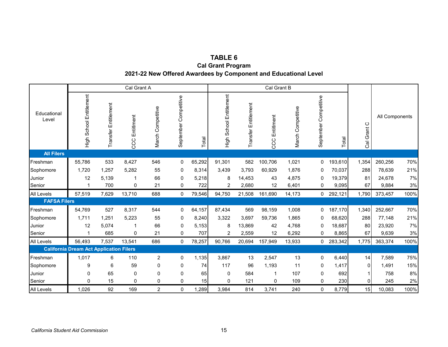| TABLE 6                                                         |
|-----------------------------------------------------------------|
| <b>Cal Grant Program</b>                                        |
| 2021-22 New Offered Awardees by Component and Educational Level |

|                      |                                                |                      | Cal Grant A       |                   |                          |                 |                         |                      | Cal Grant B       |                      |                       |         |                                    |                |       |
|----------------------|------------------------------------------------|----------------------|-------------------|-------------------|--------------------------|-----------------|-------------------------|----------------------|-------------------|----------------------|-----------------------|---------|------------------------------------|----------------|-------|
| Educational<br>Level | High School Entitlement                        | Transfer Entitlement | EntitIment<br>CCC | March Competitive | Competitive<br>September | Total           | High School Entitlement | Transfer Entitlement | EntitIment<br>CCC | Competitive<br>March | September Competitive | Total   | $\circ$<br>Grant<br>$\overline{c}$ | All Components |       |
| <b>All Filers</b>    |                                                |                      |                   |                   |                          |                 |                         |                      |                   |                      |                       |         |                                    |                |       |
| Freshman             | 55,786                                         | 533                  | 8,427             | 546               | 0                        | 65,292          | 91,301                  | 582                  | 100,706           | 1,021                | 0                     | 193,610 | 1,354                              | 260,256        | 70%   |
| Sophomore            | 1,720                                          | 1,257                | 5,282             | 55                | $\mathbf{0}$             | 8,314           | 3,439                   | 3,793                | 60,929            | 1,876                | 0                     | 70,037  | 288                                | 78,639         | 21%   |
| Junior               | 12                                             | 5,139                | $\mathbf{1}$      | 66                | 0                        | 5,218           | 8                       | 14,453               | 43                | 4,875                | 0                     | 19,379  | 81                                 | 24,678         | 7%    |
| Senior               | $\overline{1}$                                 | 700                  | 0                 | 21                | 0                        | 722             | $\overline{2}$          | 2,680                | 12                | 6,401                | 0                     | 9,095   | 67                                 | 9,884          | 3%    |
| <b>All Levels</b>    | 57,519                                         | 7,629                | 13,710            | 688               | $\mathbf 0$              | 79,546          | 94,750                  | 21,508               | 161,690           | 14,173               | 0                     | 292,121 | 1,790                              | 373,457        | 100%  |
| <b>FAFSA Filers</b>  |                                                |                      |                   |                   |                          |                 |                         |                      |                   |                      |                       |         |                                    |                |       |
| Freshman             | 54,769                                         | 527                  | 8,317             | 544               | 0                        | 64,157          | 87,434                  | 569                  | 98,159            | 1,008                | 0                     | 187,170 | 1,340                              | 252,667        | 70%   |
| Sophomore            | 1,711                                          | 1,251                | 5,223             | 55                | $\mathbf{0}$             | 8,240           | 3,322                   | 3,697                | 59,736            | 1,865                | 0                     | 68,620  | 288                                | 77,148         | 21%   |
| Junior               | 12                                             | 5,074                |                   | 66                | 0                        | 5,153           | 8                       | 13,869               | 42                | 4,768                | 0                     | 18,687  | 80                                 | 23,920         | 7%    |
| Senior               | -1                                             | 685                  | $\mathbf 0$       | 21                | $\mathbf 0$              | 707             | $\overline{2}$          | 2,559                | 12                | 6,292                | 0                     | 8,865   | 67                                 | 9,639          | $3%$  |
| <b>All Levels</b>    | 56,493                                         | 7,537                | 13,541            | 686               | $\mathbf 0$              | 78,257          | 90,766                  | 20,694               | 157,949           | 13,933               | 0                     | 283,342 | 1,775                              | 363,374        | 100%  |
|                      | <b>California Dream Act Application Filers</b> |                      |                   |                   |                          |                 |                         |                      |                   |                      |                       |         |                                    |                |       |
| Freshman             | 1,017                                          | 6                    | 110               | $\overline{c}$    | 0                        | 1,135           | 3,867                   | 13                   | 2,547             | 13                   | 0                     | 6,440   | 14                                 | 7,589          | 75%   |
| Sophomore            | 9                                              | 6                    | 59                | $\mathbf 0$       | $\mathbf 0$              | 74              | 117                     | 96                   | 1,193             | 11                   | 0                     | 1,417   | $\Omega$                           | 1,491          | 15%   |
| Junior               | 0                                              | 65                   | 0                 | 0                 | 0                        | 65              | 0                       | 584                  | 1                 | 107                  | 0                     | 692     |                                    | 758            | $8\%$ |
| Senior               | $\mathbf{0}$                                   | 15                   | $\mathbf 0$       | 0                 | $\mathbf 0$              | 15 <sup>1</sup> | $\mathbf 0$             | 121                  | 0                 | 109                  | $\mathbf 0$           | 230     | $\overline{0}$                     | 245            | $2\%$ |
| <b>All Levels</b>    | 1,026                                          | 92                   | 169               | $\overline{2}$    | $\mathbf 0$              | 1,289           | 3,984                   | 814                  | 3,741             | 240                  | 0                     | 8,779   | 15                                 | 10,083         | 100%  |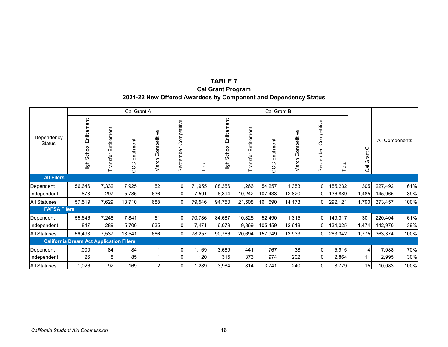## **TABLE 7 2021-22 New Offered Awardees by Component and Dependency Status Cal Grant Program**

|                             |                                                |                         | Cal Grant A       |                   |                          |        |                                    |                      | Cal Grant B       |                      |                       |         |                |                |      |
|-----------------------------|------------------------------------------------|-------------------------|-------------------|-------------------|--------------------------|--------|------------------------------------|----------------------|-------------------|----------------------|-----------------------|---------|----------------|----------------|------|
| Dependency<br><b>Status</b> | School Entitlement<br>High                     | Entitlement<br>Transfer | EntitIment<br>CCC | March Competitive | Competitive<br>September | Total  | School Entitlement<br>High<br>High | Transfer Entitlement | EntitIment<br>CCC | Competitive<br>March | September Competitive | Total   | ပ<br>Cal Grant | All Components |      |
| <b>All Filers</b>           |                                                |                         |                   |                   |                          |        |                                    |                      |                   |                      |                       |         |                |                |      |
| Dependent                   | 56,646                                         | 7,332                   | 7,925             | 52                | 0                        | 71,955 | 88,356                             | 11,266               | 54,257            | 1,353                | 0                     | 155,232 | 305            | 227,492        | 61%  |
| Independent                 | 873                                            | 297                     | 5,785             | 636               | 0                        | 7,591  | 6,394                              | 10,242               | 107,433           | 12,820               | 0                     | 136,889 | ,485           | 145,965        | 39%  |
| <b>All Statuses</b>         | 57,519                                         | 7,629                   | 13,710            | 688               | 0                        | 79,546 | 94,750                             | 21,508               | 161,690           | 14,173               | 0                     | 292,121 | 1,790          | 373,457        | 100% |
| <b>FAFSA Filers</b>         |                                                |                         |                   |                   |                          |        |                                    |                      |                   |                      |                       |         |                |                |      |
| Dependent                   | 55,646                                         | 7,248                   | 7,841             | 51                | 0                        | 70,786 | 84,687                             | 10,825               | 52,490            | 1,315                | 0                     | 149,317 | 301            | 220,404        | 61%  |
| Independent                 | 847                                            | 289                     | 5,700             | 635               | 0                        | 7,471  | 6,079                              | 9,869                | 105,459           | 12,618               | 0                     | 134,025 | 1,474          | 142,970        | 39%  |
| <b>All Statuses</b>         | 56,493                                         | 7,537                   | 13,541            | 686               | 0                        | 78,257 | 90,766                             | 20,694               | 157,949           | 13,933               | 0                     | 283,342 | 1,775          | 363,374        | 100% |
|                             | <b>California Dream Act Application Filers</b> |                         |                   |                   |                          |        |                                    |                      |                   |                      |                       |         |                |                |      |
| Dependent                   | 1,000                                          | 84                      | 84                |                   | 0                        | 1,169  | 3,669                              | 441                  | 1,767             | 38                   | 0                     | 5,915   | 4              | 7,088          | 70%  |
| Independent                 | 26                                             | 8                       | 85                |                   | 0                        | 120    | 315                                | 373                  | 1,974             | 202                  | 0                     | 2,864   | 11             | 2,995          | 30%  |
| <b>All Statuses</b>         | 1,026                                          | 92                      | 169               | $\overline{c}$    | 0                        | 1,289  | 3,984                              | 814                  | 3,741             | 240                  | 0                     | 8,779   | 15             | 10,083         | 100% |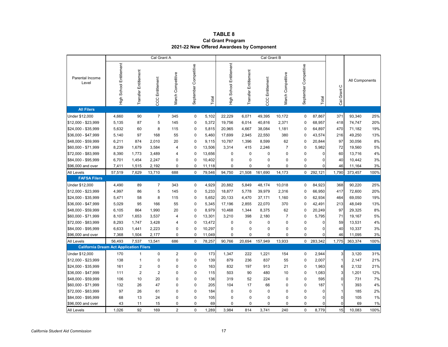#### **TABLE 8 Cal Grant Program 2021-22 New Offered Awardees by Component**

|                                                |                         |                      | Cal Grant A            |                      |                       |        |                         |                      | Cal Grant B     |                   |                       |             |                |                |      |
|------------------------------------------------|-------------------------|----------------------|------------------------|----------------------|-----------------------|--------|-------------------------|----------------------|-----------------|-------------------|-----------------------|-------------|----------------|----------------|------|
| Parental Income<br>Level                       | High School Entitlement | Transfer Entitlement | <b>CCC</b> Entitlement | Competitive<br>March | September Competitive | Total  | High School Entitlement | Transfer Entitlement | CCC Entitlement | March Competitive | September Competitive | Total       | Cal Grant C    | All Components |      |
| <b>All Filers</b>                              |                         |                      |                        |                      |                       |        |                         |                      |                 |                   |                       |             |                |                |      |
| Under \$12,000                                 | 4,660                   | 90                   | $\overline{7}$         | 345                  | 0                     | 5,102  | 22,229                  | 6,071                | 49,395          | 10,172            | $\pmb{0}$             | 87,867      | 371            | 93,340         | 25%  |
| \$12,000 - \$23,999                            | 5,135                   | 87                   | 5                      | 145                  | $\mathbf 0$           | 5,372  | 19,756                  | 6,014                | 40,816          | 2,371             | $\mathbf 0$           | 68,957      | 418            | 74,747         | 20%  |
| \$24,000 - \$35,999                            | 5,632                   | 60                   | 8                      | 115                  | 0                     | 5,815  | 20,965                  | 4,667                | 38,084          | 1,181             | 0                     | 64,897      | 470            | 71,182         | 19%  |
| \$36,000 - \$47,999                            | 5,140                   | 97                   | 168                    | 55                   | $\mathbf 0$           | 5,460  | 17,699                  | 2,945                | 22,550          | 380               | $\mathbf 0$           | 43,574      | 216            | 49,250         | 13%  |
| \$48,000 - \$59,999                            | 6,211                   | 874                  | 2,010                  | 20                   | $\Omega$              | 9,115  | 10,787                  | 1,396                | 8,599           | 62                | 0                     | 20,844      | 97             | 30,056         | 8%   |
| \$60,000 - \$71,999                            | 8,239                   | 1,679                | 3,584                  | 4                    | $\mathbf 0$           | 13,506 | 3,314                   | 415                  | 2,246           | $\overline{7}$    | 0                     | 5,982       | 72             | 19,560         | 5%   |
| \$72,000 - \$83,999                            | 8,390                   | 1,773                | 3,489                  | 4                    | $\mathbf 0$           | 13,656 | $\mathbf 0$             | $\mathbf 0$          | $\mathbf 0$     | 0                 | 0                     | 0           | 60             | 13,716         | 4%   |
| \$84,000 - \$95,999                            | 6,701                   | 1,454                | 2,247                  | 0                    | $\mathbf 0$           | 10,402 | $\mathbf 0$             | $\mathbf 0$          | 0               | 0                 | 0                     | $\mathbf 0$ | 40             | 10,442         | 3%   |
| \$96,000 and over                              | 7,411                   | 1,515                | 2,192                  | $\mathbf 0$          | $\Omega$              | 11,118 | $\mathbf 0$             | $\Omega$             | 0               | $\Omega$          | 0                     | $\Omega$    | 46             | 11,164         | 3%   |
| All Levels                                     | 57,519                  | 7,629                | 13,710                 | 688                  | $\mathbf 0$           | 79,546 | 94,750                  | 21,508               | 161,690         | 14,173            | $\mathbf 0$           | 292,121     | 1,790          | 373,457        | 100% |
| <b>FAFSA Filers</b>                            |                         |                      |                        |                      |                       |        |                         |                      |                 |                   |                       |             |                |                |      |
| Under \$12,000                                 | 4,490                   | 89                   | $\overline{7}$         | 343                  | $\mathbf 0$           | 4,929  | 20,882                  | 5,849                | 48,174          | 10,018            | $\mathbf 0$           | 84,923      | 368            | 90,220         | 25%  |
| \$12,000 - \$23,999                            | 4,997                   | 86                   | 5                      | 145                  | 0                     | 5,233  | 18,877                  | 5,778                | 39,979          | 2,316             | 0                     | 66,950      | 417            | 72,600         | 20%  |
| \$24,000 - \$35,999                            | 5,471                   | 58                   | 8                      | 115                  | 0                     | 5,652  | 20,133                  | 4,470                | 37,171          | 1,160             | $\mathbf 0$           | 62,934      | 464            | 69,050         | 19%  |
| \$36,000 - \$47,999                            | 5,029                   | 95                   | 166                    | 55                   | $\Omega$              | 5,345  | 17,196                  | 2,855                | 22,070          | 370               | 0                     | 42,491      | 213            | 48,049         | 13%  |
| \$48,000 - \$59,999                            | 6,105                   | 864                  | 1,990                  | 20                   | $\mathbf 0$           | 8,979  | 10,468                  | 1,344                | 8,375           | 62                | 0                     | 20,249      | 97             | 29,325         | 8%   |
| \$60,000 - \$71,999                            | 8,107                   | 1,653                | 3,537                  | 4                    | $\Omega$              | 13,301 | 3,210                   | 398                  | 2,180           | $\overline{7}$    | 0                     | 5,795       | 71             | 19,167         | 5%   |
| \$72,000 - \$83,999                            | 8,293                   | 1,747                | 3,428                  | $\overline{4}$       | $\mathbf 0$           | 13,472 | $\mathbf 0$             | $\mathbf 0$          | 0               | 0                 | 0                     | $\mathbf 0$ | 59             | 13,531         | 4%   |
| \$84,000 - \$95,999                            | 6,633                   | 1,441                | 2,223                  | $\mathbf 0$          | $\mathbf 0$           | 10,297 | $\mathbf 0$             | $\Omega$             | $\Omega$        | 0                 | $\pmb{0}$             | $\mathbf 0$ | 40             | 10,337         | 3%   |
| \$96,000 and over                              | 7,368                   | 1,504                | 2,177                  | $\mathbf 0$          | $\mathbf 0$           | 11,049 | $\mathbf 0$             | $\Omega$             | 0               | 0                 | 0                     | $\mathbf 0$ | 46             | 11,095         | 3%   |
| All Levels                                     | 56,493                  | 7,537                | 13,541                 | 686                  | $\mathbf 0$           | 78,257 | 90,766                  | 20,694               | 157,949         | 13,933            | $\mathbf 0$           | 283,342     | 1,775          | 363,374        | 100% |
| <b>California Dream Act Application Filers</b> |                         |                      |                        |                      |                       |        |                         |                      |                 |                   |                       |             |                |                |      |
| Under \$12,000                                 | 170                     | $\mathbf{1}$         | $\mathbf 0$            | $\overline{2}$       | $\mathbf 0$           | 173    | 1,347                   | 222                  | 1,221           | 154               | $\pmb{0}$             | 2,944       | 3              | 3,120          | 31%  |
| \$12,000 - \$23,999                            | 138                     | $\mathbf{1}$         | $\Omega$               | $\mathbf 0$          | $\Omega$              | 139    | 879                     | 236                  | 837             | 55                | $\mathbf 0$           | 2,007       | 1              | 2,147          | 21%  |
| \$24,000 - \$35,999                            | 161                     | $\overline{2}$       | $\mathbf 0$            | $\mathbf 0$          | 0                     | 163    | 832                     | 197                  | 913             | 21                | $\pmb{0}$             | 1,963       | 6              | 2,132          | 21%  |
| \$36,000 - \$47,999                            | 111                     | $\overline{2}$       | $\overline{2}$         | $\mathbf 0$          | $\mathbf 0$           | 115    | 503                     | 90                   | 480             | 10                | 0                     | 1,083       | 3              | 1,201          | 12%  |
| \$48,000 - \$59,999                            | 106                     | 10                   | 20                     | $\Omega$             | 0                     | 136    | 319                     | 52                   | 224             | 0                 | 0                     | 595         | $\Omega$       | 731            | 7%   |
| \$60,000 - \$71,999                            | 132                     | 26                   | 47                     | $\mathbf 0$          | 0                     | 205    | 104                     | 17                   | 66              | 0                 | 0                     | 187         |                | 393            | 4%   |
| \$72,000 - \$83,999                            | 97                      | 26                   | 61                     | $\Omega$             | $\Omega$              | 184    | $\mathbf 0$             | $\Omega$             | $\mathbf 0$     | 0                 | 0                     | 0           | 1              | 185            | 2%   |
| \$84,000 - \$95,999                            | 68                      | 13                   | 24                     | $\mathbf 0$          | 0                     | 105    | $\mathbf 0$             | $\mathbf 0$          | $\Omega$        | 0                 | 0                     | $\mathbf 0$ | $\overline{0}$ | 105            | 1%   |
| \$96,000 and over                              | 43                      | 11                   | 15                     | $\mathbf 0$          | $\mathbf 0$           | 69     | $\mathbf 0$             | $\mathbf 0$          | 0               | 0                 | 0                     | $\Omega$    | $\overline{0}$ | 69             | 1%   |
| All Levels                                     | 1,026                   | 92                   | 169                    | $\overline{2}$       | $\Omega$              | 1,289  | 3,984                   | 814                  | 3,741           | 240               | $\mathbf 0$           | 8,779       | 15             | 10,083         | 100% |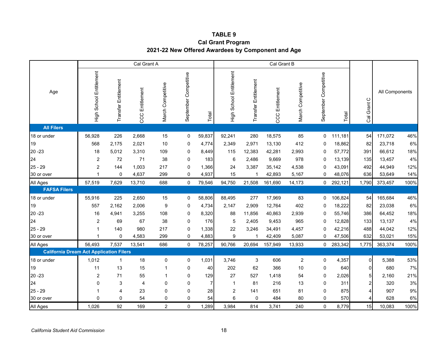#### **TABLE 9**

## **Cal Grant Program 2021-22 New Offered Awardees by Component and Age**

|                                                |                         | Cal Grant B          |                        |                   |                       |                |                         |                         |                    |                   |                       |         |                |                |       |
|------------------------------------------------|-------------------------|----------------------|------------------------|-------------------|-----------------------|----------------|-------------------------|-------------------------|--------------------|-------------------|-----------------------|---------|----------------|----------------|-------|
| Age                                            | High School Entitlement | Transfer Entitlement | <b>CCC</b> Entitlement | March Competitive | September Competitive | Total          | High School Entitlement | Transfer Entitlement    | Entitlement<br>CCC | March Competitive | September Competitive | Total   | Cal Grant C    | All Components |       |
| <b>All Filers</b>                              |                         |                      |                        |                   |                       |                |                         |                         |                    |                   |                       |         |                |                |       |
| 18 or under                                    | 56,928                  | 226                  | 2,668                  | 15                | 0                     | 59,837         | 92,241                  | 280                     | 18,575             | 85                | $\mathbf 0$           | 111,181 | 54             | 171,072        | 46%   |
| 19                                             | 568                     | 2,175                | 2,021                  | 10                | 0                     | 4,774          | 2,349                   | 2,971                   | 13,130             | 412               | 0                     | 18,862  | 82             | 23,718         | $6\%$ |
| $20 - 23$                                      | 18                      | 5,012                | 3,310                  | 109               | $\boldsymbol{0}$      | 8,449          | 115                     | 12,383                  | 42,281             | 2,993             | 0                     | 57,772  | 391            | 66,612         | 18%   |
| 24                                             | $\overline{2}$          | 72                   | 71                     | 38                | 0                     | 183            | 6                       | 2,486                   | 9,669              | 978               | $\mathbf 0$           | 13,139  | 135            | 13,457         | 4%    |
| $25 - 29$                                      | $\overline{2}$          | 144                  | 1,003                  | 217               | 0                     | 1,366          | 24                      | 3,387                   | 35,142             | 4,538             | 0                     | 43,091  | 492            | 44,949         | 12%   |
| 30 or over                                     | 1                       | $\mathbf 0$          | 4,637                  | 299               | $\mathbf 0$           | 4,937          | 15                      | -1                      | 42,893             | 5,167             | 0                     | 48,076  | 636            | 53,649         | 14%   |
| All Ages                                       | 57,519                  | 7,629                | 13,710                 | 688               | $\mathbf 0$           | 79,546         | 94,750                  | 21,508                  | 161,690            | 14,173            | $\overline{0}$        | 292,121 | 1,790          | 373,457        | 100%  |
| <b>FAFSA Filers</b>                            |                         |                      |                        |                   |                       |                |                         |                         |                    |                   |                       |         |                |                |       |
| 18 or under                                    | 55,916                  | 225                  | 2,650                  | 15                | 0                     | 58,806         | 88,495                  | 277                     | 17,969             | 83                | $\mathbf{0}$          | 106,824 | 54             | 165,684        | 46%   |
| 19                                             | 557                     | 2,162                | 2,006                  | 9                 | $\boldsymbol{0}$      | 4,734          | 2,147                   | 2,909                   | 12,764             | 402               | 0                     | 18,222  | 82             | 23,038         | $6\%$ |
| $20 - 23$                                      | 16                      | 4,941                | 3,255                  | 108               | 0                     | 8,320          | 88                      | 11,856                  | 40,863             | 2,939             | 0                     | 55,746  | 386            | 64,452         | 18%   |
| 24                                             | $\overline{2}$          | 69                   | 67                     | 38                | 0                     | 176            | 5                       | 2,405                   | 9,453              | 965               | $\Omega$              | 12,828  | 133            | 13,137         | $4\%$ |
| $25 - 29$                                      | 1                       | 140                  | 980                    | 217               | $\boldsymbol{0}$      | 1,338          | 22                      | 3,246                   | 34,491             | 4,457             | 0                     | 42,216  | 488            | 44,042         | 12%   |
| 30 or over                                     | 1                       | $\mathbf 0$          | 4,583                  | 299               | $\mathbf 0$           | 4,883          | 9                       | $\overline{\mathbf{1}}$ | 42,409             | 5,087             | 0                     | 47,506  | 632            | 53,021         | 15%   |
| All Ages                                       | 56,493                  | 7,537                | 13,541                 | 686               | $\mathbf 0$           | 78,257         | 90,766                  | 20,694                  | 157,949            | 13,933            | 0                     | 283,342 | 1,775          | 363,374        | 100%  |
| <b>California Dream Act Application Filers</b> |                         |                      |                        |                   |                       |                |                         |                         |                    |                   |                       |         |                |                |       |
| 18 or under                                    | 1,012                   | $\overline{1}$       | 18                     | $\pmb{0}$         | $\boldsymbol{0}$      | 1,031          | 3,746                   | 3                       | 606                | $\overline{2}$    | 0                     | 4,357   | $\overline{0}$ | 5,388          | 53%   |
| 19                                             | 11                      | 13                   | 15                     | 1                 | 0                     | 40             | 202                     | 62                      | 366                | 10                | 0                     | 640     | 0              | 680            | 7%    |
| $20 - 23$                                      | $\overline{2}$          | 71                   | 55                     | 1                 | 0                     | 129            | 27                      | 527                     | 1,418              | 54                | $\mathbf 0$           | 2,026   | 5              | 2,160          | 21%   |
| 24                                             | 0                       | 3                    | 4                      | 0                 | $\mathbf 0$           | $\overline{7}$ | $\mathbf{1}$            | 81                      | 216                | 13                | $\mathbf 0$           | 311     | 2              | 320            | $3%$  |
| $25 - 29$                                      | 1                       | $\overline{4}$       | 23                     | 0                 | 0                     | 28             | $\overline{2}$          | 141                     | 651                | 81                | 0                     | 875     | 4              | 907            | $9\%$ |
| 30 or over                                     | 0                       | $\mathbf 0$          | 54                     | 0                 | 0                     | 54             | 6                       | $\mathbf 0$             | 484                | 80                | 0                     | 570     | 4              | 628            | 6%    |
| All Ages                                       | 1,026                   | 92                   | 169                    | $\overline{c}$    | $\pmb{0}$             | 1,289          | 3,984                   | 814                     | 3,741              | 240               | 0                     | 8,779   | 15             | 10,083         | 100%  |